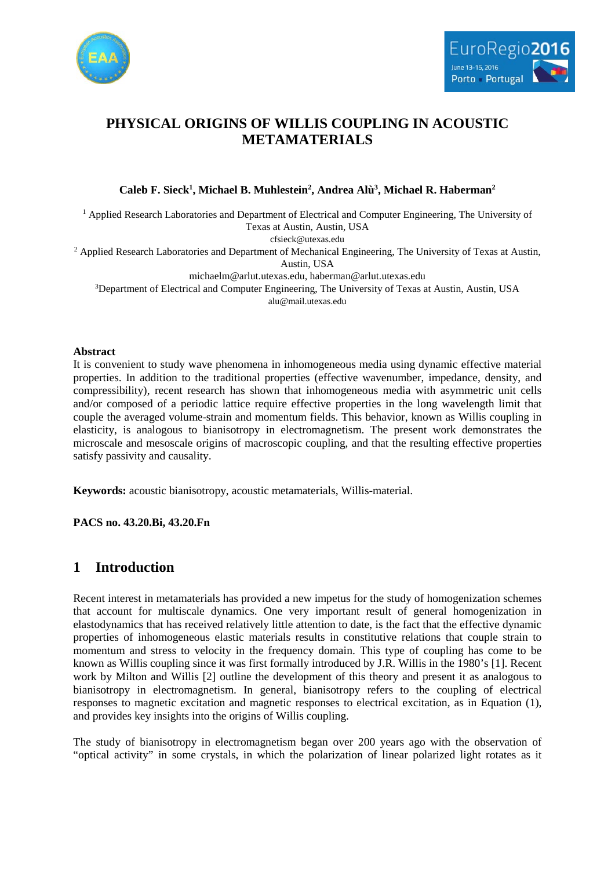



# **PHYSICAL ORIGINS OF WILLIS COUPLING IN ACOUSTIC METAMATERIALS**

**Caleb F. Sieck1 , Michael B. Muhlestein2 , Andrea Alù3 , Michael R. Haberman2**

<sup>1</sup> Applied Research Laboratories and Department of Electrical and Computer Engineering, The University of Texas at Austin, Austin, USA cfsieck@utexas.edu

<sup>2</sup> Applied Research Laboratories and Department of Mechanical Engineering, The University of Texas at Austin, Austin, USA

michaelm@arlut.utexas.edu, haberman@arlut.utexas.edu

<sup>3</sup>Department of Electrical and Computer Engineering, The University of Texas at Austin, Austin, USA alu@mail.utexas.edu

#### **Abstract**

It is convenient to study wave phenomena in inhomogeneous media using dynamic effective material properties. In addition to the traditional properties (effective wavenumber, impedance, density, and compressibility), recent research has shown that inhomogeneous media with asymmetric unit cells and/or composed of a periodic lattice require effective properties in the long wavelength limit that couple the averaged volume-strain and momentum fields. This behavior, known as Willis coupling in elasticity, is analogous to bianisotropy in electromagnetism. The present work demonstrates the microscale and mesoscale origins of macroscopic coupling, and that the resulting effective properties satisfy passivity and causality.

**Keywords:** acoustic bianisotropy, acoustic metamaterials, Willis-material.

**PACS no. 43.20.Bi, 43.20.Fn**

## **1 Introduction**

Recent interest in metamaterials has provided a new impetus for the study of homogenization schemes that account for multiscale dynamics. One very important result of general homogenization in elastodynamics that has received relatively little attention to date, is the fact that the effective dynamic properties of inhomogeneous elastic materials results in constitutive relations that couple strain to momentum and stress to velocity in the frequency domain. This type of coupling has come to be known as Willis coupling since it was first formally introduced by J.R. Willis in the 1980's [1]. Recent work by Milton and Willis [2] outline the development of this theory and present it as analogous to bianisotropy in electromagnetism. In general, bianisotropy refers to the coupling of electrical responses to magnetic excitation and magnetic responses to electrical excitation, as in Equation (1), and provides key insights into the origins of Willis coupling.

The study of bianisotropy in electromagnetism began over 200 years ago with the observation of "optical activity" in some crystals, in which the polarization of linear polarized light rotates as it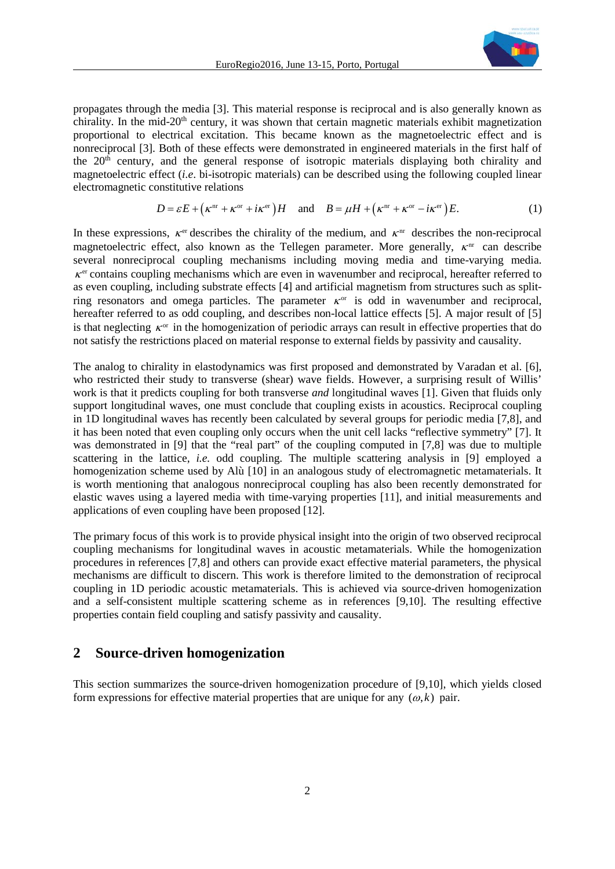

propagates through the media [3]. This material response is reciprocal and is also generally known as chirality. In the mid-20<sup>th</sup> century, it was shown that certain magnetic materials exhibit magnetization proportional to electrical excitation. This became known as the magnetoelectric effect and is nonreciprocal [3]. Both of these effects were demonstrated in engineered materials in the first half of the  $20<sup>th</sup>$  century, and the general response of isotropic materials displaying both chirality and magnetoelectric effect (*i.e*. bi-isotropic materials) can be described using the following coupled linear electromagnetic constitutive relations

$$
D = \varepsilon E + (\kappa^{\text{nr}} + \kappa^{\text{or}} + i\kappa^{\text{er}})H \quad \text{and} \quad B = \mu H + (\kappa^{\text{nr}} + \kappa^{\text{or}} - i\kappa^{\text{er}})E. \tag{1}
$$

In these expressions,  $\kappa$ <sup>er</sup> describes the chirality of the medium, and  $\kappa$ <sup>nr</sup> describes the non-reciprocal magnetoelectric effect, also known as the Tellegen parameter. More generally,  $\kappa$ <sup>nr</sup> can describe several nonreciprocal coupling mechanisms including moving media and time-varying media.  $\kappa$ <sup>er</sup> contains coupling mechanisms which are even in wavenumber and reciprocal, hereafter referred to as even coupling, including substrate effects [4] and artificial magnetism from structures such as splitring resonators and omega particles. The parameter  $\kappa$ <sup>or</sup> is odd in wavenumber and reciprocal, hereafter referred to as odd coupling, and describes non-local lattice effects [5]. A major result of [5] is that neglecting  $\kappa$ <sup>or</sup> in the homogenization of periodic arrays can result in effective properties that do not satisfy the restrictions placed on material response to external fields by passivity and causality.

The analog to chirality in elastodynamics was first proposed and demonstrated by Varadan et al. [6], who restricted their study to transverse (shear) wave fields. However, a surprising result of Willis' work is that it predicts coupling for both transverse *and* longitudinal waves [1]. Given that fluids only support longitudinal waves, one must conclude that coupling exists in acoustics. Reciprocal coupling in 1D longitudinal waves has recently been calculated by several groups for periodic media [7,8], and it has been noted that even coupling only occurs when the unit cell lacks "reflective symmetry" [7]. It was demonstrated in [9] that the "real part" of the coupling computed in [7,8] was due to multiple scattering in the lattice, *i.e.* odd coupling. The multiple scattering analysis in [9] employed a homogenization scheme used by Alù [10] in an analogous study of electromagnetic metamaterials. It is worth mentioning that analogous nonreciprocal coupling has also been recently demonstrated for elastic waves using a layered media with time-varying properties [11], and initial measurements and applications of even coupling have been proposed [12].

The primary focus of this work is to provide physical insight into the origin of two observed reciprocal coupling mechanisms for longitudinal waves in acoustic metamaterials. While the homogenization procedures in references [7,8] and others can provide exact effective material parameters, the physical mechanisms are difficult to discern. This work is therefore limited to the demonstration of reciprocal coupling in 1D periodic acoustic metamaterials. This is achieved via source-driven homogenization and a self-consistent multiple scattering scheme as in references [9,10]. The resulting effective properties contain field coupling and satisfy passivity and causality.

### **2 Source-driven homogenization**

This section summarizes the source-driven homogenization procedure of [9,10], which yields closed form expressions for effective material properties that are unique for any  $(\omega, k)$  pair.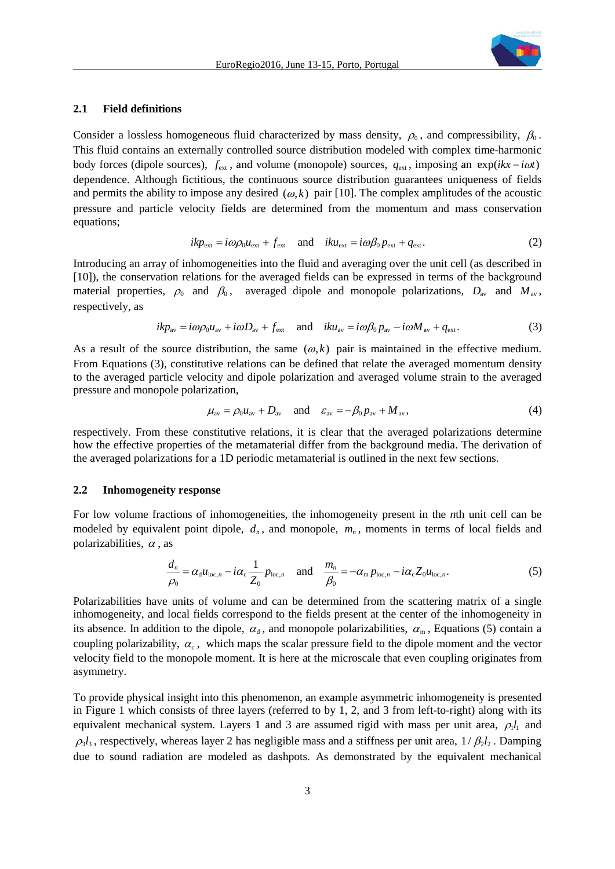

#### **2.1 Field definitions**

Consider a lossless homogeneous fluid characterized by mass density,  $\rho_0$ , and compressibility,  $\beta_0$ . This fluid contains an externally controlled source distribution modeled with complex time-harmonic body forces (dipole sources),  $f_{ext}$ , and volume (monopole) sources,  $q_{ext}$ , imposing an exp( $ikx - i\omega t$ ) dependence. Although fictitious, the continuous source distribution guarantees uniqueness of fields and permits the ability to impose any desired  $(\omega, k)$  pair [10]. The complex amplitudes of the acoustic pressure and particle velocity fields are determined from the momentum and mass conservation equations;

$$
ikp_{\text{ext}} = i\omega p_0 u_{\text{ext}} + f_{\text{ext}} \quad \text{and} \quad iku_{\text{ext}} = i\omega \beta_0 p_{\text{ext}} + q_{\text{ext}}.
$$
 (2)

Introducing an array of inhomogeneities into the fluid and averaging over the unit cell (as described in [10]), the conservation relations for the averaged fields can be expressed in terms of the background material properties,  $\rho_0$  and  $\beta_0$ , averaged dipole and monopole polarizations,  $D_{av}$  and  $M_{av}$ , respectively, as

$$
ikp_{\text{av}} = i\omega\rho_0 u_{\text{av}} + i\omega D_{\text{av}} + f_{\text{ext}} \quad \text{and} \quad iku_{\text{av}} = i\omega\beta_0 p_{\text{av}} - i\omega M_{\text{av}} + q_{\text{ext}}.
$$
 (3)

As a result of the source distribution, the same  $(\omega, k)$  pair is maintained in the effective medium. From Equations (3), constitutive relations can be defined that relate the averaged momentum density to the averaged particle velocity and dipole polarization and averaged volume strain to the averaged pressure and monopole polarization,

$$
\mu_{\text{av}} = \rho_0 u_{\text{av}} + D_{\text{av}} \quad \text{and} \quad \varepsilon_{\text{av}} = -\beta_0 p_{\text{av}} + M_{\text{av}}, \tag{4}
$$

respectively. From these constitutive relations, it is clear that the averaged polarizations determine how the effective properties of the metamaterial differ from the background media. The derivation of the averaged polarizations for a 1D periodic metamaterial is outlined in the next few sections.

#### **2.2 Inhomogeneity response**

For low volume fractions of inhomogeneities, the inhomogeneity present in the *n*th unit cell can be modeled by equivalent point dipole,  $d_n$ , and monopole,  $m_n$ , moments in terms of local fields and polarizabilities,  $\alpha$ , as

$$
\frac{d_n}{\rho_0} = \alpha_{\rm d} u_{\rm loc,n} - i\alpha_{\rm c} \frac{1}{Z_0} p_{\rm loc,n} \quad \text{and} \quad \frac{m_n}{\beta_0} = -\alpha_{\rm m} p_{\rm loc,n} - i\alpha_{\rm c} Z_0 u_{\rm loc,n}.
$$
 (5)

Polarizabilities have units of volume and can be determined from the scattering matrix of a single inhomogeneity, and local fields correspond to the fields present at the center of the inhomogeneity in its absence. In addition to the dipole,  $\alpha_d$ , and monopole polarizabilities,  $\alpha_m$ , Equations (5) contain a coupling polarizability,  $\alpha_c$ , which maps the scalar pressure field to the dipole moment and the vector velocity field to the monopole moment. It is here at the microscale that even coupling originates from asymmetry.

To provide physical insight into this phenomenon, an example asymmetric inhomogeneity is presented in Figure 1 which consists of three layers (referred to by 1, 2, and 3 from left-to-right) along with its equivalent mechanical system. Layers 1 and 3 are assumed rigid with mass per unit area,  $\rho_1 l_1$  and  $\rho_3 l_3$ , respectively, whereas layer 2 has negligible mass and a stiffness per unit area,  $1/\beta_2 l_2$ . Damping due to sound radiation are modeled as dashpots. As demonstrated by the equivalent mechanical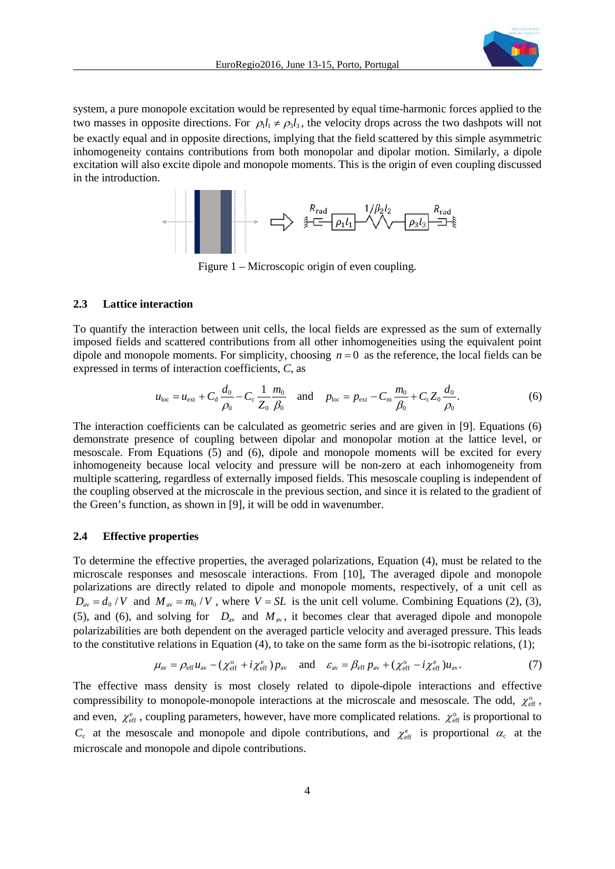

system, a pure monopole excitation would be represented by equal time-harmonic forces applied to the two masses in opposite directions. For  $\rho_1 l_1 \neq \rho_2 l_3$ , the velocity drops across the two dashpots will not be exactly equal and in opposite directions, implying that the field scattered by this simple asymmetric inhomogeneity contains contributions from both monopolar and dipolar motion. Similarly, a dipole excitation will also excite dipole and monopole moments. This is the origin of even coupling discussed in the introduction.



Figure 1 – Microscopic origin of even coupling.

#### **2.3 Lattice interaction**

To quantify the interaction between unit cells, the local fields are expressed as the sum of externally imposed fields and scattered contributions from all other inhomogeneities using the equivalent point dipole and monopole moments. For simplicity, choosing  $n = 0$  as the reference, the local fields can be expressed in terms of interaction coefficients, *C*, as

$$
u_{\text{loc}} = u_{\text{ext}} + C_{\text{d}} \frac{d_0}{\rho_0} - C_{\text{c}} \frac{1}{Z_0} \frac{m_0}{\beta_0} \quad \text{and} \quad p_{\text{loc}} = p_{\text{ext}} - C_{\text{m}} \frac{m_0}{\beta_0} + C_{\text{c}} Z_0 \frac{d_0}{\rho_0}.
$$
 (6)

The interaction coefficients can be calculated as geometric series and are given in [9]. Equations (6) demonstrate presence of coupling between dipolar and monopolar motion at the lattice level, or mesoscale. From Equations (5) and (6), dipole and monopole moments will be excited for every inhomogeneity because local velocity and pressure will be non-zero at each inhomogeneity from multiple scattering, regardless of externally imposed fields. This mesoscale coupling is independent of the coupling observed at the microscale in the previous section, and since it is related to the gradient of the Green's function, as shown in [9], it will be odd in wavenumber.

#### **2.4 Effective properties**

To determine the effective properties, the averaged polarizations, Equation (4), must be related to the microscale responses and mesoscale interactions. From [10], The averaged dipole and monopole polarizations are directly related to dipole and monopole moments, respectively, of a unit cell as  $D_{av} = d_0/V$  and  $M_{av} = m_0/V$ , where  $V = SL$  is the unit cell volume. Combining Equations (2), (3), (5), and (6), and solving for  $D_{av}$  and  $M_{av}$ , it becomes clear that averaged dipole and monopole polarizabilities are both dependent on the averaged particle velocity and averaged pressure. This leads to the constitutive relations in Equation (4), to take on the same form as the bi-isotropic relations, (1);

$$
\mu_{\text{av}} = \rho_{\text{eff}} u_{\text{av}} - (\chi_{\text{eff}}^{\text{o}} + i \chi_{\text{eff}}^{\text{e}}) p_{\text{av}} \quad \text{and} \quad \varepsilon_{\text{av}} = \beta_{\text{eff}} p_{\text{av}} + (\chi_{\text{eff}}^{\text{o}} - i \chi_{\text{eff}}^{\text{e}}) u_{\text{av}}.
$$
 (7)

The effective mass density is most closely related to dipole-dipole interactions and effective compressibility to monopole-monopole interactions at the microscale and mesoscale. The odd,  $\chi^{\circ}_{\text{eff}}$ , and even,  $\chi_{\text{eff}}^e$ , coupling parameters, however, have more complicated relations.  $\chi_{\text{eff}}^o$  is proportional to  $C_c$  at the mesoscale and monopole and dipole contributions, and  $\chi_{\text{eff}}^e$  is proportional  $\alpha_c$  at the microscale and monopole and dipole contributions.